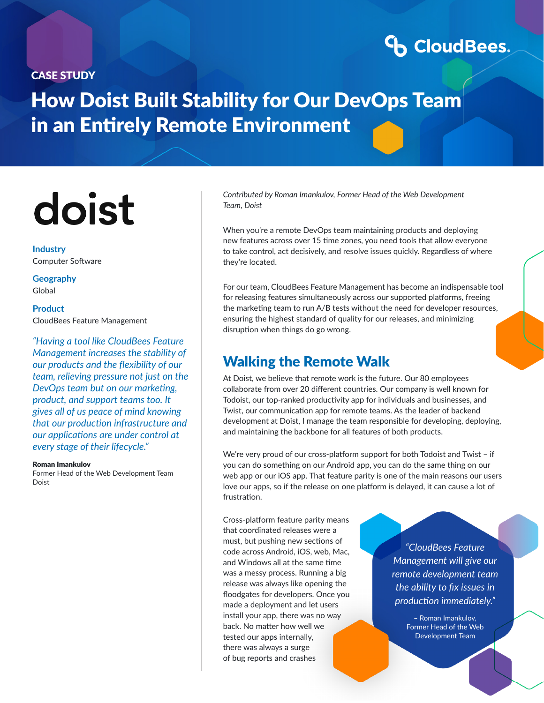#### CASE STUDY

# **CoudBees**

# How Doist Built Stability for Our DevOps Team in an Entirely Remote Environment

# doist

**Industry** Computer Software

**Geography** Global

**Product** CloudBees Feature Management

*"Having a tool like CloudBees Feature Management increases the stability of our products and the flexibility of our team, relieving pressure not just on the DevOps team but on our marketing, product, and support teams too. It gives all of us peace of mind knowing that our production infrastructure and our applications are under control at every stage of their lifecycle."*

#### Roman Imankulov

Former Head of the Web Development Team Doist

*Contributed by Roman Imankulov, Former Head of the Web Development Team, Doist*

When you're a remote DevOps team maintaining products and deploying new features across over 15 time zones, you need tools that allow everyone to take control, act decisively, and resolve issues quickly. Regardless of where they're located.

For our team, CloudBees Feature Management has become an indispensable tool for releasing features simultaneously across our supported platforms, freeing the marketing team to run A/B tests without the need for developer resources, ensuring the highest standard of quality for our releases, and minimizing disruption when things do go wrong.

### Walking the Remote Walk

At Doist, we believe that remote work is the future. Our 80 employees collaborate from over 20 different countries. Our company is well known for Todoist, our top-ranked productivity app for individuals and businesses, and Twist, our communication app for remote teams. As the leader of backend development at Doist, I manage the team responsible for developing, deploying, and maintaining the backbone for all features of both products.

We're very proud of our cross-platform support for both Todoist and Twist – if you can do something on our Android app, you can do the same thing on our web app or our iOS app. That feature parity is one of the main reasons our users love our apps, so if the release on one platform is delayed, it can cause a lot of frustration.

Cross-platform feature parity means that coordinated releases were a must, but pushing new sections of code across Android, iOS, web, Mac, and Windows all at the same time was a messy process. Running a big release was always like opening the floodgates for developers. Once you made a deployment and let users install your app, there was no way back. No matter how well we tested our apps internally, there was always a surge of bug reports and crashes

*"CloudBees Feature Management will give our remote development team the ability to fix issues in production immediately."*

> – Roman Imankulov, Former Head of the Web Development Team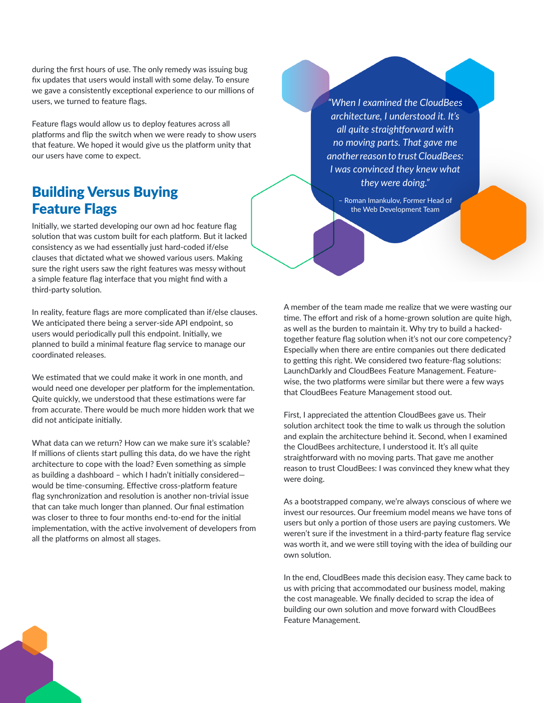during the first hours of use. The only remedy was issuing bug fix updates that users would install with some delay. To ensure we gave a consistently exceptional experience to our millions of users, we turned to feature flags.

Feature flags would allow us to deploy features across all platforms and flip the switch when we were ready to show users that feature. We hoped it would give us the platform unity that our users have come to expect.

## Building Versus Buying Feature Flags

Initially, we started developing our own ad hoc feature flag solution that was custom built for each platform. But it lacked consistency as we had essentially just hard-coded if/else clauses that dictated what we showed various users. Making sure the right users saw the right features was messy without a simple feature flag interface that you might find with a third-party solution.

In reality, feature flags are more complicated than if/else clauses. We anticipated there being a server-side API endpoint, so users would periodically pull this endpoint. Initially, we planned to build a minimal feature flag service to manage our coordinated releases.

We estimated that we could make it work in one month, and would need one developer per platform for the implementation. Quite quickly, we understood that these estimations were far from accurate. There would be much more hidden work that we did not anticipate initially.

What data can we return? How can we make sure it's scalable? If millions of clients start pulling this data, do we have the right architecture to cope with the load? Even something as simple as building a dashboard – which I hadn't initially considered would be time-consuming. Effective cross-platform feature flag synchronization and resolution is another non-trivial issue that can take much longer than planned. Our final estimation was closer to three to four months end-to-end for the initial implementation, with the active involvement of developers from all the platforms on almost all stages.

*"When I examined the CloudBees architecture, I understood it. It's all quite straightforward with no moving parts. That gave me another reason to trust CloudBees: I was convinced they knew what they were doing."*

– Roman Imankulov, Former Head of the Web Development Team

A member of the team made me realize that we were wasting our time. The effort and risk of a home-grown solution are quite high, as well as the burden to maintain it. Why try to build a hackedtogether feature flag solution when it's not our core competency? Especially when there are entire companies out there dedicated to getting this right. We considered two feature-flag solutions: LaunchDarkly and CloudBees Feature Management. Featurewise, the two platforms were similar but there were a few ways that CloudBees Feature Management stood out.

First, I appreciated the attention CloudBees gave us. Their solution architect took the time to walk us through the solution and explain the architecture behind it. Second, when I examined the CloudBees architecture, I understood it. It's all quite straightforward with no moving parts. That gave me another reason to trust CloudBees: I was convinced they knew what they were doing.

As a bootstrapped company, we're always conscious of where we invest our resources. Our freemium model means we have tons of users but only a portion of those users are paying customers. We weren't sure if the investment in a third-party feature flag service was worth it, and we were still toying with the idea of building our own solution.

In the end, CloudBees made this decision easy. They came back to us with pricing that accommodated our business model, making the cost manageable. We finally decided to scrap the idea of building our own solution and move forward with CloudBees Feature Management.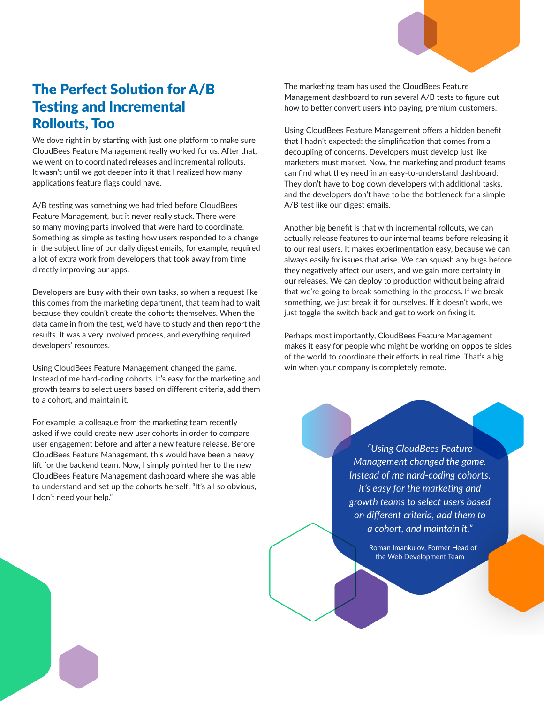## The Perfect Solution for A/B Testing and Incremental Rollouts, Too

We dove right in by starting with just one platform to make sure CloudBees Feature Management really worked for us. After that, we went on to coordinated releases and incremental rollouts. It wasn't until we got deeper into it that I realized how many applications feature flags could have.

A/B testing was something we had tried before CloudBees Feature Management, but it never really stuck. There were so many moving parts involved that were hard to coordinate. Something as simple as testing how users responded to a change in the subject line of our daily digest emails, for example, required a lot of extra work from developers that took away from time directly improving our apps.

Developers are busy with their own tasks, so when a request like this comes from the marketing department, that team had to wait because they couldn't create the cohorts themselves. When the data came in from the test, we'd have to study and then report the results. It was a very involved process, and everything required developers' resources.

Using CloudBees Feature Management changed the game. Instead of me hard-coding cohorts, it's easy for the marketing and growth teams to select users based on different criteria, add them to a cohort, and maintain it.

For example, a colleague from the marketing team recently asked if we could create new user cohorts in order to compare user engagement before and after a new feature release. Before CloudBees Feature Management, this would have been a heavy lift for the backend team. Now, I simply pointed her to the new CloudBees Feature Management dashboard where she was able to understand and set up the cohorts herself: "It's all so obvious, I don't need your help."

The marketing team has used the CloudBees Feature Management dashboard to run several A/B tests to figure out how to better convert users into paying, premium customers.

Using CloudBees Feature Management offers a hidden benefit that I hadn't expected: the simplification that comes from a decoupling of concerns. Developers must develop just like marketers must market. Now, the marketing and product teams can find what they need in an easy-to-understand dashboard. They don't have to bog down developers with additional tasks, and the developers don't have to be the bottleneck for a simple A/B test like our digest emails.

Another big benefit is that with incremental rollouts, we can actually release features to our internal teams before releasing it to our real users. It makes experimentation easy, because we can always easily fix issues that arise. We can squash any bugs before they negatively affect our users, and we gain more certainty in our releases. We can deploy to production without being afraid that we're going to break something in the process. If we break something, we just break it for ourselves. If it doesn't work, we just toggle the switch back and get to work on fixing it.

Perhaps most importantly, CloudBees Feature Management makes it easy for people who might be working on opposite sides of the world to coordinate their efforts in real time. That's a big win when your company is completely remote.

> *"Using CloudBees Feature Management changed the game. Instead of me hard-coding cohorts, it's easy for the marketing and growth teams to select users based on different criteria, add them to a cohort, and maintain it."*

> > – Roman Imankulov, Former Head of the Web Development Team